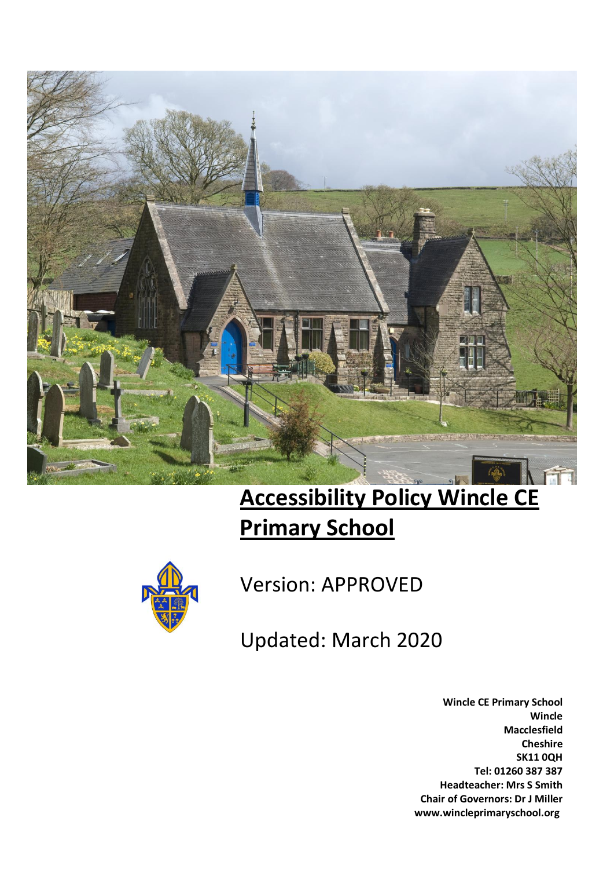

# **Accessibility Policy Wincle CE Primary School**



Version: APPROVED

Updated: March 2020

**Wincle CE Primary School Wincle Macclesfield Cheshire SK11 0QH Tel: 01260 387 387 Headteacher: Mrs S Smith Chair of Governors: Dr J Miller www.wincleprimaryschool.org**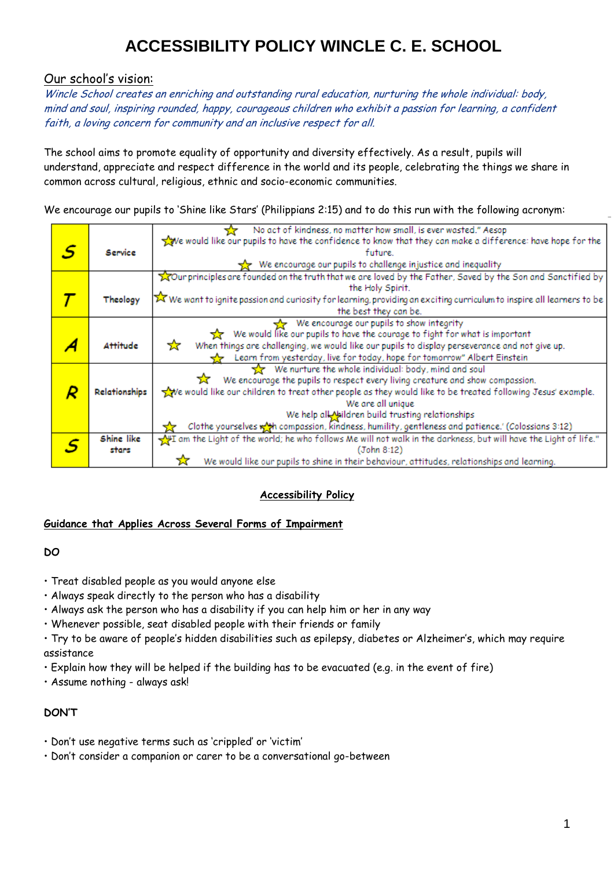### Our school's vision:

Wincle School creates an enriching and outstanding rural education, nurturing the whole individual: body, mind and soul, inspiring rounded, happy, courageous children who exhibit a passion for learning, a confident faith, a loving concern for community and an inclusive respect for all.

The school aims to promote equality of opportunity and diversity effectively. As a result, pupils will understand, appreciate and respect difference in the world and its people, celebrating the things we share in common across cultural, religious, ethnic and socio-economic communities.

We encourage our pupils to 'Shine like Stars' (Philippians 2:15) and to do this run with the following acronym:

|   |                      | No act of kindness, no matter how small, is ever wasted." Aesop                                                        |  |  |  |
|---|----------------------|------------------------------------------------------------------------------------------------------------------------|--|--|--|
|   |                      | We would like our pupils to have the confidence to know that they can make a difference: have hope for the             |  |  |  |
| S | Service              | future.                                                                                                                |  |  |  |
|   |                      | We encourage our pupils to challenge injustice and inequality                                                          |  |  |  |
|   |                      | our principles are founded on the truth that we are loved by the Father, Saved by the Son and Sanctified by            |  |  |  |
|   |                      | the Holy Spirit.                                                                                                       |  |  |  |
|   | Theology             | X We want to ignite passion and curiosity for learning, providing an exciting curriculum to inspire all learners to be |  |  |  |
|   |                      | the best they can be.                                                                                                  |  |  |  |
|   |                      | We encourage our pupils to show integrity                                                                              |  |  |  |
|   |                      | We would like our pupils to have the courage to fight for what is important<br>537.                                    |  |  |  |
|   | <b>Attitude</b>      | When things are challenging, we would like our pupils to display perseverance and not give up.<br>☆                    |  |  |  |
|   |                      | Learn from yesterday, live for today, hope for tomorrow" Albert Einstein                                               |  |  |  |
|   |                      | We nurture the whole individual: body, mind and soul                                                                   |  |  |  |
|   |                      | We encourage the pupils to respect every living creature and show compassion.                                          |  |  |  |
|   | Relationships        | we would like our children to treat other people as they would like to be treated following Jesus' example.            |  |  |  |
|   |                      | We are all unique                                                                                                      |  |  |  |
|   |                      | We help all Meildren build trusting relationships                                                                      |  |  |  |
|   |                      | Clothe yourselves wat compassion, kindness, humility, gentleness and patience.' (Colossians 3:12)                      |  |  |  |
|   | Shine like           | m the Light of the world; he who follows Me will not walk in the darkness, but will have the Light of life."           |  |  |  |
|   | (John 8:12)<br>stars |                                                                                                                        |  |  |  |
|   |                      | We would like our pupils to shine in their behaviour, attitudes, relationships and learning.                           |  |  |  |

### **Accessibility Policy**

### **Guidance that Applies Across Several Forms of Impairment**

#### **DO**

- Treat disabled people as you would anyone else
- Always speak directly to the person who has a disability
- Always ask the person who has a disability if you can help him or her in any way
- Whenever possible, seat disabled people with their friends or family
- Try to be aware of people's hidden disabilities such as epilepsy, diabetes or Alzheimer's, which may require assistance
- Explain how they will be helped if the building has to be evacuated (e.g. in the event of fire)
- Assume nothing always ask!

### **DON'T**

- Don't use negative terms such as 'crippled' or 'victim'
- Don't consider a companion or carer to be a conversational go-between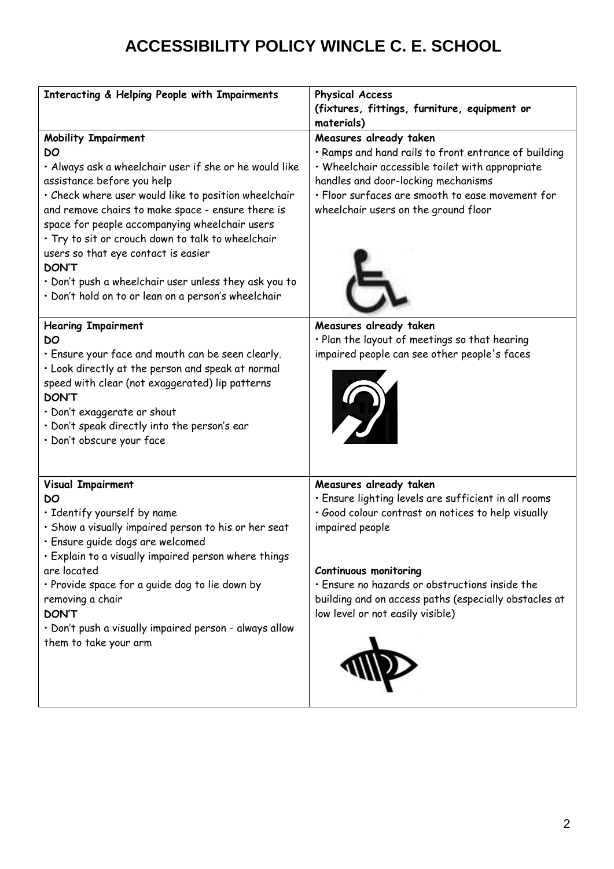| Interacting & Helping People with Impairments                                                                                                                                                                                                                                                                                                                                                                                                                                                                       | <b>Physical Access</b>                                                                                                                                                                                                                                                                                                                 |
|---------------------------------------------------------------------------------------------------------------------------------------------------------------------------------------------------------------------------------------------------------------------------------------------------------------------------------------------------------------------------------------------------------------------------------------------------------------------------------------------------------------------|----------------------------------------------------------------------------------------------------------------------------------------------------------------------------------------------------------------------------------------------------------------------------------------------------------------------------------------|
|                                                                                                                                                                                                                                                                                                                                                                                                                                                                                                                     | (fixtures, fittings, furniture, equipment or                                                                                                                                                                                                                                                                                           |
|                                                                                                                                                                                                                                                                                                                                                                                                                                                                                                                     | materials)                                                                                                                                                                                                                                                                                                                             |
| <b>Mobility Impairment</b><br>DO<br>· Always ask a wheelchair user if she or he would like<br>assistance before you help<br>· Check where user would like to position wheelchair<br>and remove chairs to make space - ensure there is<br>space for people accompanying wheelchair users<br>· Try to sit or crouch down to talk to wheelchair<br>users so that eye contact is easier<br><b>DON'T</b><br>• Don't push a wheelchair user unless they ask you to<br>· Don't hold on to or lean on a person's wheelchair | Measures already taken<br>· Ramps and hand rails to front entrance of building<br>· Wheelchair accessible toilet with appropriate<br>handles and door-locking mechanisms<br>· Floor surfaces are smooth to ease movement for<br>wheelchair users on the ground floor                                                                   |
| <b>Hearing Impairment</b><br>DO<br>. Ensure your face and mouth can be seen clearly.<br>. Look directly at the person and speak at normal<br>speed with clear (not exaggerated) lip patterns<br><b>DON'T</b><br>· Don't exaggerate or shout<br>· Don't speak directly into the person's ear<br>· Don't obscure your face                                                                                                                                                                                            | Measures already taken<br>· Plan the layout of meetings so that hearing<br>impaired people can see other people's faces                                                                                                                                                                                                                |
| <b>Visual Impairment</b><br>DO<br>· Identify yourself by name<br>· Show a visually impaired person to his or her seat<br>· Ensure guide dogs are welcomed<br>. Explain to a visually impaired person where things<br>are located<br>· Provide space for a guide dog to lie down by<br>removing a chair<br><b>DON'T</b><br>· Don't push a visually impaired person - always allow<br>them to take your arm                                                                                                           | Measures already taken<br>· Ensure lighting levels are sufficient in all rooms<br>· Good colour contrast on notices to help visually<br>impaired people<br><b>Continuous monitoring</b><br>· Ensure no hazards or obstructions inside the<br>building and on access paths (especially obstacles at<br>low level or not easily visible) |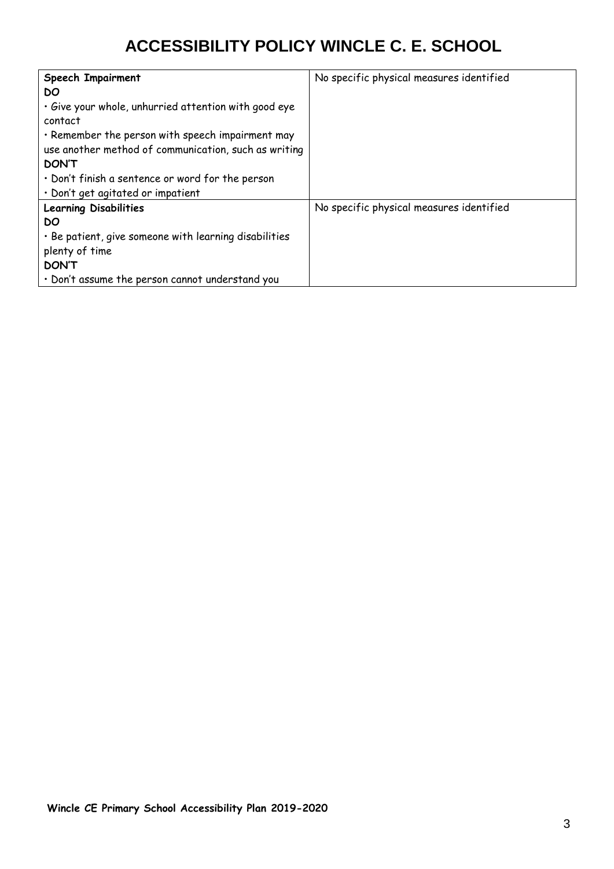| <b>Speech Impairment</b>                              | No specific physical measures identified |
|-------------------------------------------------------|------------------------------------------|
| DO.                                                   |                                          |
| . Give your whole, unhurried attention with good eye  |                                          |
| contact                                               |                                          |
| . Remember the person with speech impairment may      |                                          |
| use another method of communication, such as writing  |                                          |
| <b>DON'T</b>                                          |                                          |
| • Don't finish a sentence or word for the person      |                                          |
| · Don't get agitated or impatient                     |                                          |
| <b>Learning Disabilities</b>                          | No specific physical measures identified |
| DO                                                    |                                          |
| · Be patient, give someone with learning disabilities |                                          |
| plenty of time                                        |                                          |
| <b>DON'T</b>                                          |                                          |
| · Don't assume the person cannot understand you       |                                          |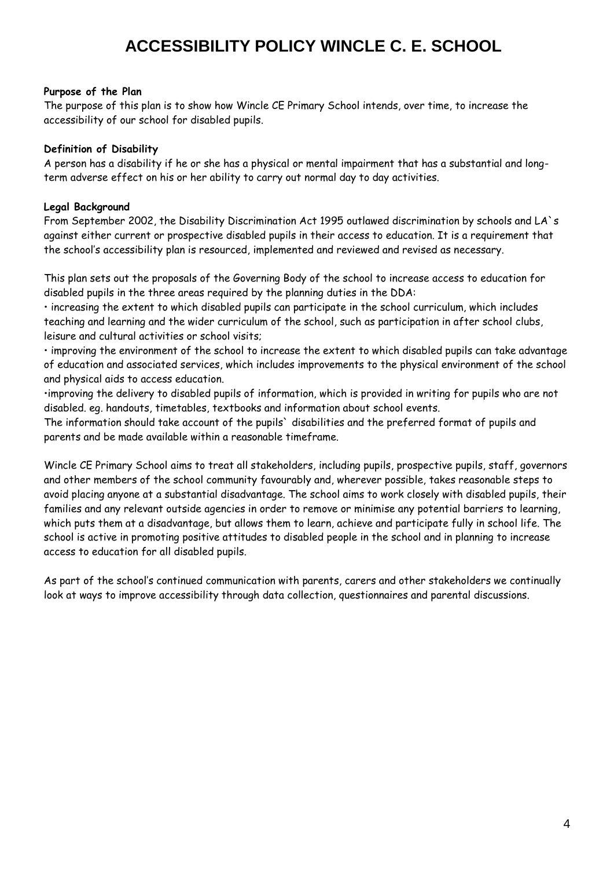#### **Purpose of the Plan**

The purpose of this plan is to show how Wincle CE Primary School intends, over time, to increase the accessibility of our school for disabled pupils.

#### **Definition of Disability**

A person has a disability if he or she has a physical or mental impairment that has a substantial and longterm adverse effect on his or her ability to carry out normal day to day activities.

#### **Legal Background**

From September 2002, the Disability Discrimination Act 1995 outlawed discrimination by schools and LA`s against either current or prospective disabled pupils in their access to education. It is a requirement that the school's accessibility plan is resourced, implemented and reviewed and revised as necessary.

This plan sets out the proposals of the Governing Body of the school to increase access to education for disabled pupils in the three areas required by the planning duties in the DDA:

• increasing the extent to which disabled pupils can participate in the school curriculum, which includes teaching and learning and the wider curriculum of the school, such as participation in after school clubs, leisure and cultural activities or school visits;

• improving the environment of the school to increase the extent to which disabled pupils can take advantage of education and associated services, which includes improvements to the physical environment of the school and physical aids to access education.

•improving the delivery to disabled pupils of information, which is provided in writing for pupils who are not disabled. eg. handouts, timetables, textbooks and information about school events.

The information should take account of the pupils` disabilities and the preferred format of pupils and parents and be made available within a reasonable timeframe.

Wincle CE Primary School aims to treat all stakeholders, including pupils, prospective pupils, staff, governors and other members of the school community favourably and, wherever possible, takes reasonable steps to avoid placing anyone at a substantial disadvantage. The school aims to work closely with disabled pupils, their families and any relevant outside agencies in order to remove or minimise any potential barriers to learning, which puts them at a disadvantage, but allows them to learn, achieve and participate fully in school life. The school is active in promoting positive attitudes to disabled people in the school and in planning to increase access to education for all disabled pupils.

As part of the school's continued communication with parents, carers and other stakeholders we continually look at ways to improve accessibility through data collection, questionnaires and parental discussions.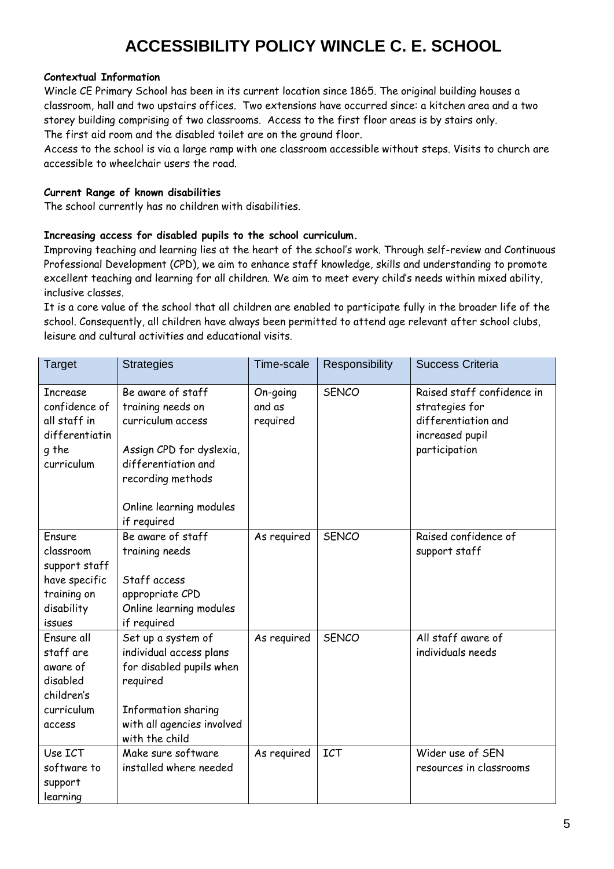#### **Contextual Information**

Wincle CE Primary School has been in its current location since 1865. The original building houses a classroom, hall and two upstairs offices. Two extensions have occurred since: a kitchen area and a two storey building comprising of two classrooms. Access to the first floor areas is by stairs only. The first aid room and the disabled toilet are on the ground floor.

Access to the school is via a large ramp with one classroom accessible without steps. Visits to church are accessible to wheelchair users the road.

### **Current Range of known disabilities**

The school currently has no children with disabilities.

#### **Increasing access for disabled pupils to the school curriculum.**

Improving teaching and learning lies at the heart of the school's work. Through self-review and Continuous Professional Development (CPD), we aim to enhance staff knowledge, skills and understanding to promote excellent teaching and learning for all children. We aim to meet every child's needs within mixed ability, inclusive classes.

It is a core value of the school that all children are enabled to participate fully in the broader life of the school. Consequently, all children have always been permitted to attend age relevant after school clubs, leisure and cultural activities and educational visits.

| <b>Target</b>                                                                                | <b>Strategies</b>                                                                                                                                                             | Time-scale                     | Responsibility | <b>Success Criteria</b>                                                                                 |
|----------------------------------------------------------------------------------------------|-------------------------------------------------------------------------------------------------------------------------------------------------------------------------------|--------------------------------|----------------|---------------------------------------------------------------------------------------------------------|
| <b>Increase</b><br>confidence of<br>all staff in<br>differentiatin<br>g the<br>curriculum    | Be aware of staff<br>training needs on<br>curriculum access<br>Assign CPD for dyslexia,<br>differentiation and<br>recording methods<br>Online learning modules<br>if required | On-going<br>and as<br>required | <b>SENCO</b>   | Raised staff confidence in<br>strategies for<br>differentiation and<br>increased pupil<br>participation |
| Ensure<br>classroom<br>support staff<br>have specific<br>training on<br>disability<br>issues | Be aware of staff<br>training needs<br>Staff access<br>appropriate CPD<br>Online learning modules<br>if required                                                              | As required                    | <b>SENCO</b>   | Raised confidence of<br>support staff                                                                   |
| Ensure all<br>staff are<br>aware of<br>disabled<br>children's<br>curriculum<br>access        | Set up a system of<br>individual access plans<br>for disabled pupils when<br>required<br>Information sharing<br>with all agencies involved<br>with the child                  | As required                    | <b>SENCO</b>   | All staff aware of<br>individuals needs                                                                 |
| Use ICT<br>software to<br>support<br>learning                                                | Make sure software<br>installed where needed                                                                                                                                  | As required                    | <b>ICT</b>     | Wider use of SEN<br>resources in classrooms                                                             |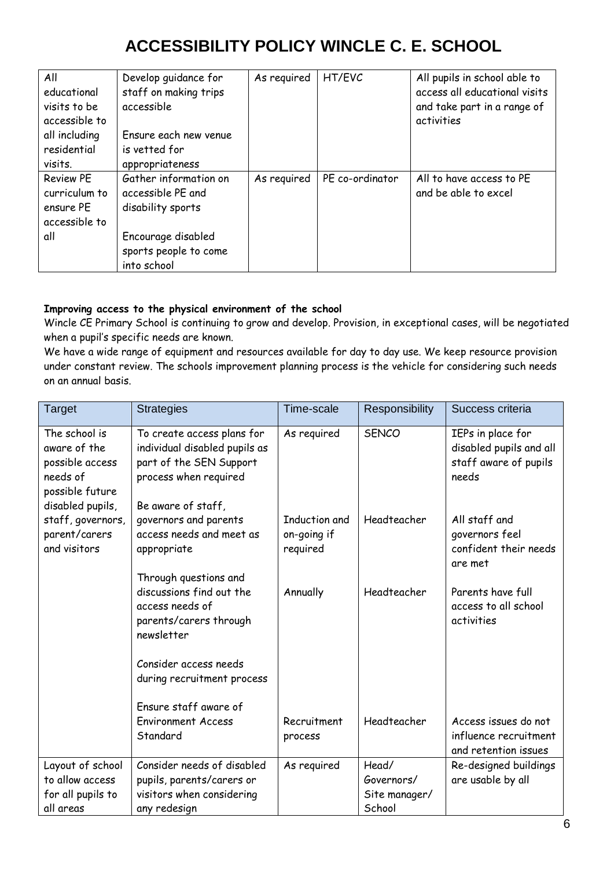| All<br>educational<br>visits to be<br>accessible to<br>all including<br>residential | Develop guidance for<br>staff on making trips<br>accessible<br>Ensure each new venue<br>is vetted for | As required | HT/EVC          | All pupils in school able to<br>access all educational visits<br>and take part in a range of<br>activities |
|-------------------------------------------------------------------------------------|-------------------------------------------------------------------------------------------------------|-------------|-----------------|------------------------------------------------------------------------------------------------------------|
| visits.                                                                             | appropriateness                                                                                       |             |                 |                                                                                                            |
| <b>Review PE</b><br>curriculum to<br>ensure PE<br>accessible to                     | Gather information on<br>accessible PE and<br>disability sports                                       | As required | PE co-ordinator | All to have access to PE<br>and be able to excel                                                           |
| all                                                                                 | Encourage disabled<br>sports people to come<br>into school                                            |             |                 |                                                                                                            |

### **Improving access to the physical environment of the school**

Wincle CE Primary School is continuing to grow and develop. Provision, in exceptional cases, will be negotiated when a pupil's specific needs are known.

We have a wide range of equipment and resources available for day to day use. We keep resource provision under constant review. The schools improvement planning process is the vehicle for considering such needs on an annual basis.

| Target                                                                                              | <b>Strategies</b>                                                                                                                     | Time-scale                               | Responsibility                                 | Success criteria                                                               |
|-----------------------------------------------------------------------------------------------------|---------------------------------------------------------------------------------------------------------------------------------------|------------------------------------------|------------------------------------------------|--------------------------------------------------------------------------------|
| The school is<br>aware of the<br>possible access<br>needs of<br>possible future<br>disabled pupils, | To create access plans for<br>individual disabled pupils as<br>part of the SEN Support<br>process when required<br>Be aware of staff, | As required                              | <b>SENCO</b>                                   | IEPs in place for<br>disabled pupils and all<br>staff aware of pupils<br>needs |
| staff, governors,<br>parent/carers<br>and visitors                                                  | governors and parents<br>access needs and meet as<br>appropriate<br>Through questions and                                             | Induction and<br>on-going if<br>required | Headteacher                                    | All staff and<br>governors feel<br>confident their needs<br>are met            |
|                                                                                                     | discussions find out the<br>access needs of<br>parents/carers through<br>newsletter                                                   | Annually                                 | Headteacher                                    | Parents have full<br>access to all school<br>activities                        |
|                                                                                                     | Consider access needs<br>during recruitment process                                                                                   |                                          |                                                |                                                                                |
|                                                                                                     | Ensure staff aware of<br><b>Environment Access</b><br>Standard                                                                        | Recruitment<br>process                   | Headteacher                                    | Access issues do not<br>influence recruitment<br>and retention issues          |
| Layout of school<br>to allow access<br>for all pupils to<br>all areas                               | Consider needs of disabled<br>pupils, parents/carers or<br>visitors when considering<br>any redesign                                  | As required                              | Head/<br>Governors/<br>Site manager/<br>School | Re-designed buildings<br>are usable by all                                     |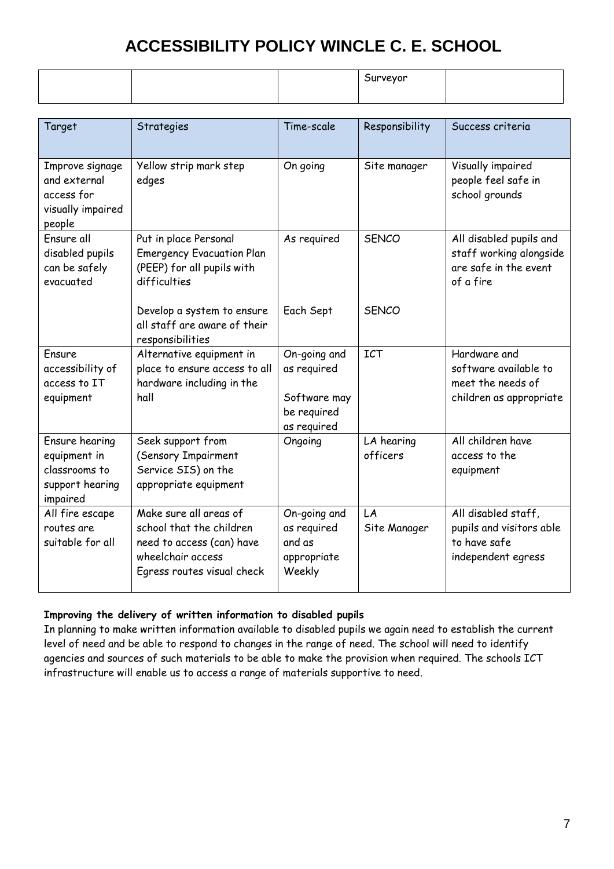|  | iurveyor<br>זור |  |
|--|-----------------|--|
|  |                 |  |

| Target                                                                         | Strategies                                                                                                                         | Time-scale                                                                | Responsibility         | Success criteria                                                                         |
|--------------------------------------------------------------------------------|------------------------------------------------------------------------------------------------------------------------------------|---------------------------------------------------------------------------|------------------------|------------------------------------------------------------------------------------------|
| Improve signage<br>and external<br>access for<br>visually impaired<br>people   | Yellow strip mark step<br>edges                                                                                                    | On going                                                                  | Site manager           | Visually impaired<br>people feel safe in<br>school grounds                               |
| Ensure all<br>disabled pupils<br>can be safely<br>evacuated                    | Put in place Personal<br><b>Emergency Evacuation Plan</b><br>(PEEP) for all pupils with<br>difficulties                            | As required                                                               | <b>SENCO</b>           | All disabled pupils and<br>staff working alongside<br>are safe in the event<br>of a fire |
|                                                                                | Develop a system to ensure<br>all staff are aware of their<br>responsibilities                                                     | Each Sept                                                                 | <b>SENCO</b>           |                                                                                          |
| Ensure<br>accessibility of<br>access to IT<br>equipment                        | Alternative equipment in<br>place to ensure access to all<br>hardware including in the<br>hall                                     | On-going and<br>as required<br>Software may<br>be required<br>as required | <b>ICT</b>             | Hardware and<br>software available to<br>meet the needs of<br>children as appropriate    |
| Ensure hearing<br>equipment in<br>classrooms to<br>support hearing<br>impaired | Seek support from<br>(Sensory Impairment<br>Service SIS) on the<br>appropriate equipment                                           | Ongoing                                                                   | LA hearing<br>officers | All children have<br>access to the<br>equipment                                          |
| All fire escape<br>routes are<br>suitable for all                              | Make sure all areas of<br>school that the children<br>need to access (can) have<br>wheelchair access<br>Egress routes visual check | On-going and<br>as required<br>and as<br>appropriate<br>Weekly            | LA<br>Site Manager     | All disabled staff,<br>pupils and visitors able<br>to have safe<br>independent egress    |

### **Improving the delivery of written information to disabled pupils**

In planning to make written information available to disabled pupils we again need to establish the current level of need and be able to respond to changes in the range of need. The school will need to identify agencies and sources of such materials to be able to make the provision when required. The schools ICT infrastructure will enable us to access a range of materials supportive to need.